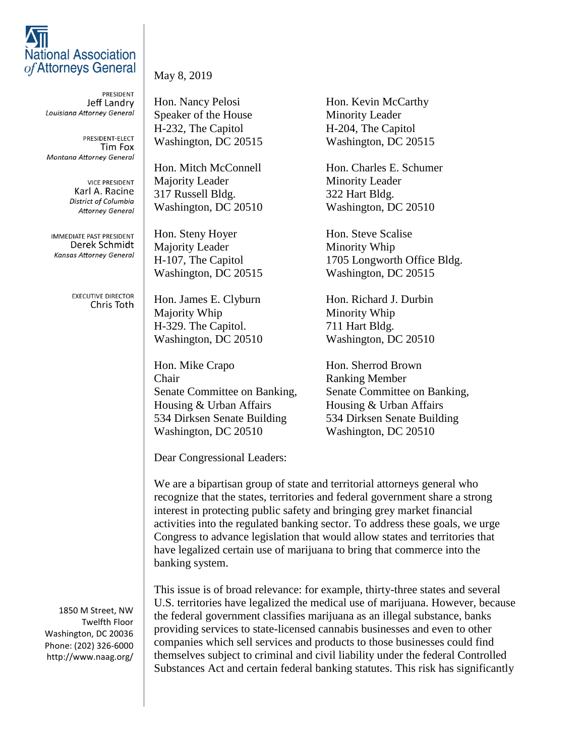## **National Association** of Attorneys General

**PRESIDENT** Jeff Landry Louisiana Attorney General

PRESIDENT-ELECT Tim Fox **Montana Attorney General** 

> **VICE PRESIDENT** Karl A. Racine District of Columbia **Attorney General**

**IMMEDIATE PAST PRESIDENT** Derek Schmidt **Kansas Attorney General** 

> **EXECUTIVE DIRECTOR** Chris Toth

1850 M Street, NW Twelfth Floor Washington, DC 20036 Phone: (202) 326-6000 http://www.naag.org/

## May 8, 2019

Hon. Nancy Pelosi Hon. Kevin McCarthy Speaker of the House Minority Leader H-232, The Capitol H-204, The Capitol Washington, DC 20515 Washington, DC 20515

Majority Leader Minority Leader 317 Russell Bldg. 322 Hart Bldg. Washington, DC 20510 Washington, DC 20510

Hon. Steny Hoyer Hon. Steve Scalise Majority Leader Minority Whip

Hon. James E. Clyburn Hon. Richard J. Durbin Majority Whip Minority Whip H-329. The Capitol. 711 Hart Bldg.

Hon. Mike Crapo Hon. Sherrod Brown **Chair** Ranking Member Senate Committee on Banking, Senate Committee on Banking, Housing & Urban Affairs Housing & Urban Affairs 534 Dirksen Senate Building 534 Dirksen Senate Building Washington, DC 20510 Washington, DC 20510

Hon. Mitch McConnell Hon. Charles E. Schumer

H-107, The Capitol 1705 Longworth Office Bldg. Washington, DC 20515 Washington, DC 20515

Washington, DC 20510 Washington, DC 20510

Dear Congressional Leaders:

We are a bipartisan group of state and territorial attorneys general who recognize that the states, territories and federal government share a strong interest in protecting public safety and bringing grey market financial activities into the regulated banking sector. To address these goals, we urge Congress to advance legislation that would allow states and territories that have legalized certain use of marijuana to bring that commerce into the banking system.

This issue is of broad relevance: for example, thirty-three states and several U.S. territories have legalized the medical use of marijuana. However, because the federal government classifies marijuana as an illegal substance, banks providing services to state-licensed cannabis businesses and even to other companies which sell services and products to those businesses could find themselves subject to criminal and civil liability under the federal Controlled Substances Act and certain federal banking statutes. This risk has significantly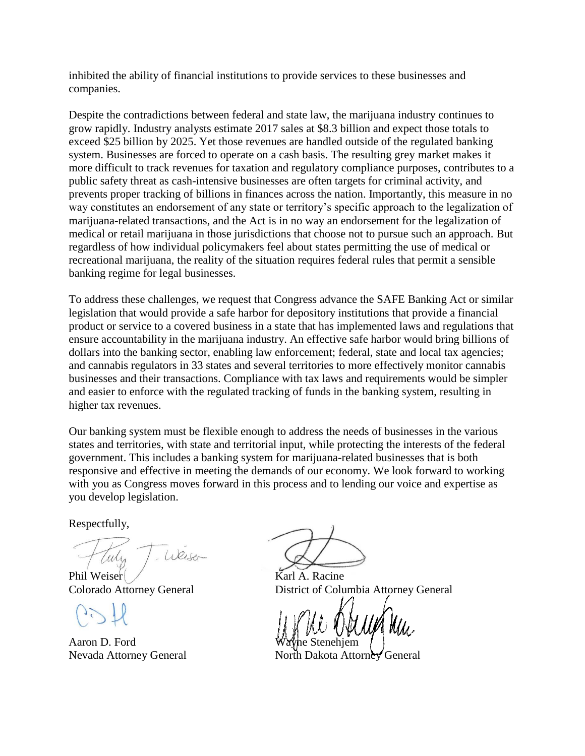inhibited the ability of financial institutions to provide services to these businesses and companies.

Despite the contradictions between federal and state law, the marijuana industry continues to grow rapidly. Industry analysts estimate 2017 sales at \$8.3 billion and expect those totals to exceed \$25 billion by 2025. Yet those revenues are handled outside of the regulated banking system. Businesses are forced to operate on a cash basis. The resulting grey market makes it more difficult to track revenues for taxation and regulatory compliance purposes, contributes to a public safety threat as cash-intensive businesses are often targets for criminal activity, and prevents proper tracking of billions in finances across the nation. Importantly, this measure in no way constitutes an endorsement of any state or territory's specific approach to the legalization of marijuana-related transactions, and the Act is in no way an endorsement for the legalization of medical or retail marijuana in those jurisdictions that choose not to pursue such an approach. But regardless of how individual policymakers feel about states permitting the use of medical or recreational marijuana, the reality of the situation requires federal rules that permit a sensible banking regime for legal businesses.

To address these challenges, we request that Congress advance the SAFE Banking Act or similar legislation that would provide a safe harbor for depository institutions that provide a financial product or service to a covered business in a state that has implemented laws and regulations that ensure accountability in the marijuana industry. An effective safe harbor would bring billions of dollars into the banking sector, enabling law enforcement; federal, state and local tax agencies; and cannabis regulators in 33 states and several territories to more effectively monitor cannabis businesses and their transactions. Compliance with tax laws and requirements would be simpler and easier to enforce with the regulated tracking of funds in the banking system, resulting in higher tax revenues.

Our banking system must be flexible enough to address the needs of businesses in the various states and territories, with state and territorial input, while protecting the interests of the federal government. This includes a banking system for marijuana-related businesses that is both responsive and effective in meeting the demands of our economy. We look forward to working with you as Congress moves forward in this process and to lending our voice and expertise as you develop legislation.

Respectfully,

Weiser

Phil Weiser  $\overline{K}$ arl A. Racine

Aaron D. Ford

Colorado Attorney General District of Columbia Attorney General

Nevada Attorney General North Dakota Attorney General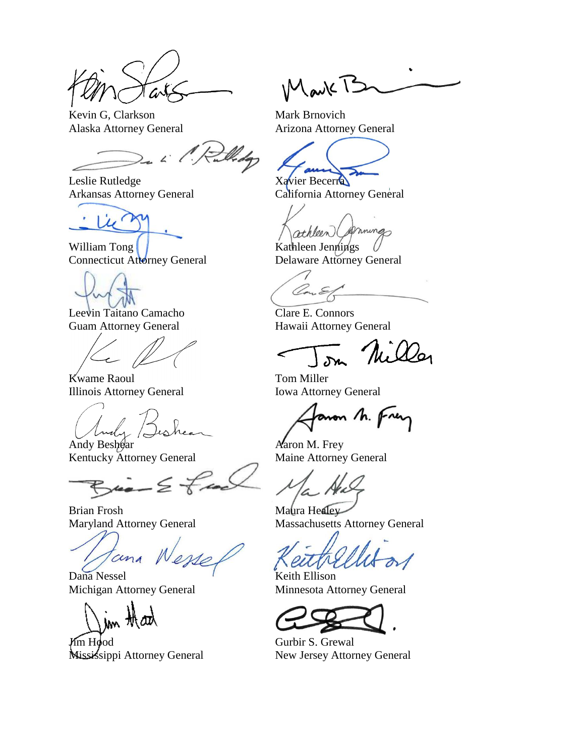Kevin G, Clarkson Mark Brnovich

 $\angle$ 

Leslie Rutledge Xavier Becerra

 $\mu$ 

William Tong Rathleen Jennings

Leevin Taitano Camacho Clare E. Connors

Kwame Raoul Tom Miller Illinois Attorney General Iowa Attorney General

1 Andy Ashear Aaron M. Frey<br>Andy Beshear Aaron M. Frey<br>Kentucky Attorney General Maine Attorney General

Kentucky Attorney General

Brian Frosh Maura Healey

cina

Dana Nessel Keith Ellison

**Jum Hood** Gurbir S. Grewal Mississippi Attorney General New Jersey Attorney General

Mark B

Alaska Attorney General Arizona Attorney General

Arkansas Attorney General California Attorney General

mmings athleen

Connecticut Attorney General Delaware Attorney General

Guam Attorney General Hawaii Attorney General

aron h. Frey

Maryland Attorney General Massachusetts Attorney General

Michigan Attorney General Minnesota Attorney General